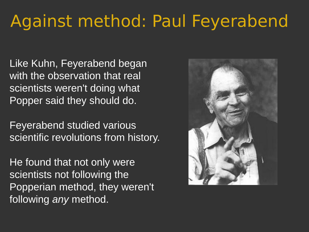# Against method: Paul Feyerabend

Like Kuhn, Feyerabend began with the observation that real scientists weren't doing what Popper said they should do.

Feyerabend studied various scientific revolutions from history.

He found that not only were scientists not following the Popperian method, they weren't following *any* method.

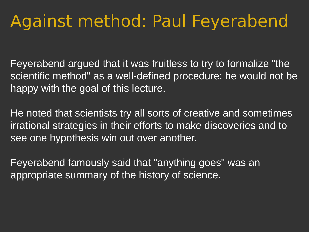# Against method: Paul Feyerabend

Feyerabend argued that it was fruitless to try to formalize "the scientific method" as a well-defined procedure: he would not be happy with the goal of this lecture.

He noted that scientists try all sorts of creative and sometimes irrational strategies in their efforts to make discoveries and to see one hypothesis win out over another.

Feyerabend famously said that "anything goes" was an appropriate summary of the history of science.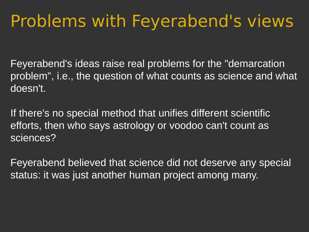# Problems with Feyerabend's views

Feyerabend's ideas raise real problems for the "demarcation problem", i.e., the question of what counts as science and what doesn't.

If there's no special method that unifies different scientific efforts, then who says astrology or voodoo can't count as sciences?

Feyerabend believed that science did not deserve any special status: it was just another human project among many.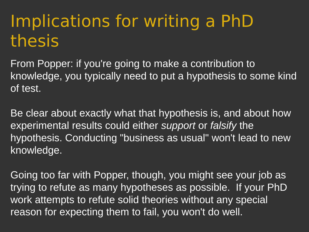# Implications for writing a PhD thesis

From Popper: if you're going to make a contribution to knowledge, you typically need to put a hypothesis to some kind of test.

Be clear about exactly what that hypothesis is, and about how experimental results could either *support* or *falsify* the hypothesis. Conducting "business as usual" won't lead to new knowledge.

Going too far with Popper, though, you might see your job as trying to refute as many hypotheses as possible. If your PhD work attempts to refute solid theories without any special reason for expecting them to fail, you won't do well.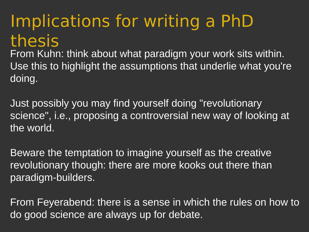# Implications for writing a PhD thesis

From Kuhn: think about what paradigm your work sits within. Use this to highlight the assumptions that underlie what you're doing.

Just possibly you may find yourself doing "revolutionary science", i.e., proposing a controversial new way of looking at the world.

Beware the temptation to imagine yourself as the creative revolutionary though: there are more kooks out there than paradigm-builders.

From Feyerabend: there is a sense in which the rules on how to do good science are always up for debate.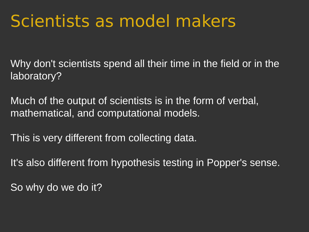### Scientists as model makers

Why don't scientists spend all their time in the field or in the laboratory?

Much of the output of scientists is in the form of verbal, mathematical, and computational models.

This is very different from collecting data.

It's also different from hypothesis testing in Popper's sense.

So why do we do it?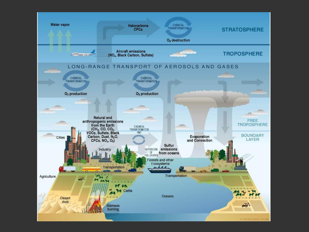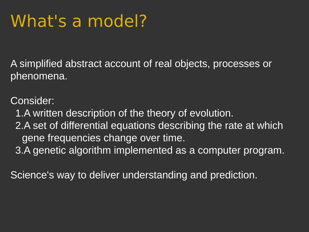# What's a model?

A simplified abstract account of real objects, processes or phenomena.

Consider:

1.A written description of the theory of evolution. 2.A set of differential equations describing the rate at which gene frequencies change over time. 3.A genetic algorithm implemented as a computer program.

Science's way to deliver understanding and prediction.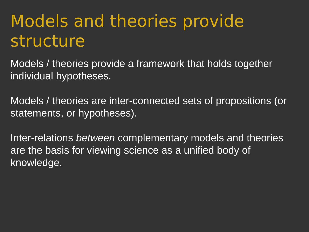# Models and theories provide structure

Models / theories provide a framework that holds together individual hypotheses.

Models / theories are inter-connected sets of propositions (or statements, or hypotheses).

Inter-relations *between* complementary models and theories are the basis for viewing science as a unified body of knowledge.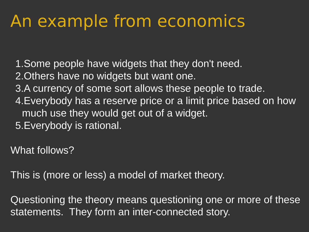### An example from economics

1.Some people have widgets that they don't need. 2.Others have no widgets but want one. 3.A currency of some sort allows these people to trade. 4.Everybody has a reserve price or a limit price based on how much use they would get out of a widget. 5.Everybody is rational.

What follows?

This is (more or less) a model of market theory.

Questioning the theory means questioning one or more of these statements. They form an inter-connected story.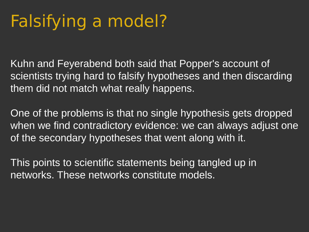# Falsifying a model?

Kuhn and Feyerabend both said that Popper's account of scientists trying hard to falsify hypotheses and then discarding them did not match what really happens.

One of the problems is that no single hypothesis gets dropped when we find contradictory evidence: we can always adjust one of the secondary hypotheses that went along with it.

This points to scientific statements being tangled up in networks. These networks constitute models.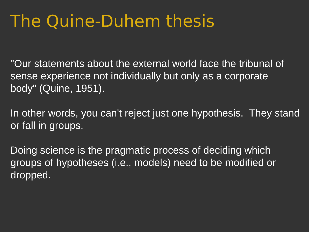## The Quine-Duhem thesis

"Our statements about the external world face the tribunal of sense experience not individually but only as a corporate body" (Quine, 1951).

In other words, you can't reject just one hypothesis. They stand or fall in groups.

Doing science is the pragmatic process of deciding which groups of hypotheses (i.e., models) need to be modified or dropped.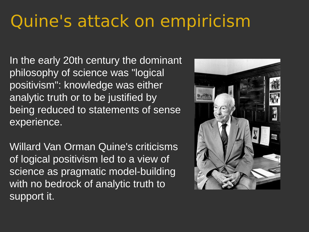# Quine's attack on empiricism

In the early 20th century the dominant philosophy of science was "logical positivism": knowledge was either analytic truth or to be justified by being reduced to statements of sense experience.

Willard Van Orman Quine's criticisms of logical positivism led to a view of science as pragmatic model-building with no bedrock of analytic truth to support it.

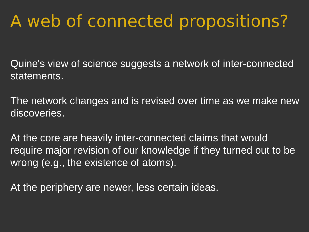# A web of connected propositions?

Quine's view of science suggests a network of inter-connected statements.

The network changes and is revised over time as we make new discoveries.

At the core are heavily inter-connected claims that would require major revision of our knowledge if they turned out to be wrong (e.g., the existence of atoms).

At the periphery are newer, less certain ideas.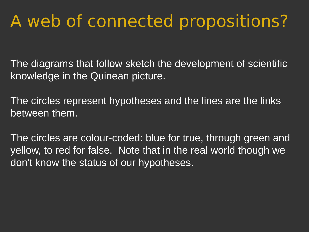# A web of connected propositions?

The diagrams that follow sketch the development of scientific knowledge in the Quinean picture.

The circles represent hypotheses and the lines are the links between them.

The circles are colour-coded: blue for true, through green and yellow, to red for false. Note that in the real world though we don't know the status of our hypotheses.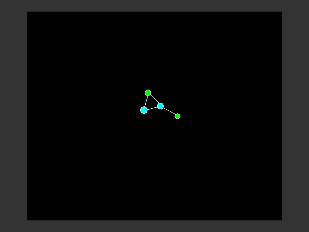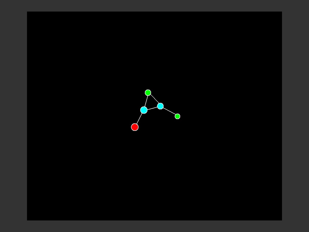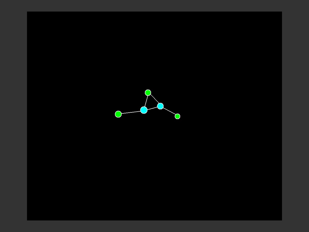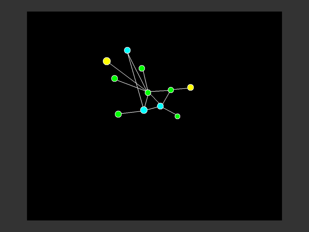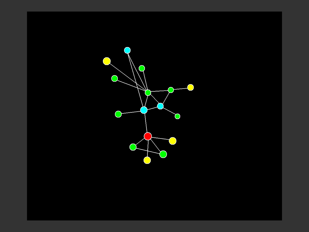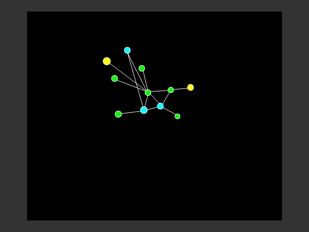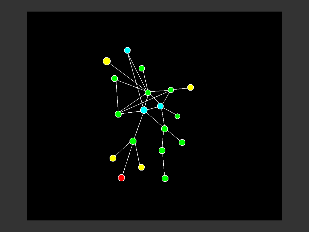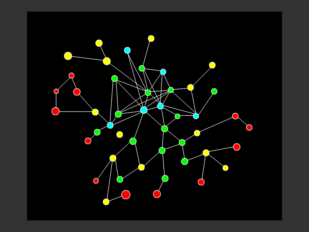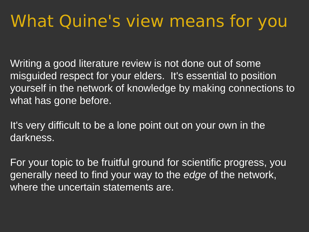# What Quine's view means for you

Writing a good literature review is not done out of some misguided respect for your elders. It's essential to position yourself in the network of knowledge by making connections to what has gone before.

It's very difficult to be a lone point out on your own in the darkness.

For your topic to be fruitful ground for scientific progress, you generally need to find your way to the *edge* of the network, where the uncertain statements are.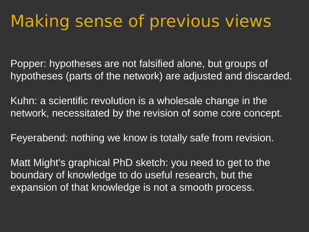### Making sense of previous views

Popper: hypotheses are not falsified alone, but groups of hypotheses (parts of the network) are adjusted and discarded.

Kuhn: a scientific revolution is a wholesale change in the network, necessitated by the revision of some core concept.

Feyerabend: nothing we know is totally safe from revision.

Matt Might's graphical PhD sketch: you need to get to the boundary of knowledge to do useful research, but the expansion of that knowledge is not a smooth process.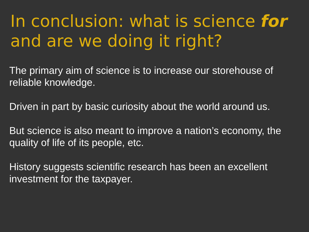# In conclusion: what is science **for** and are we doing it right?

The primary aim of science is to increase our storehouse of reliable knowledge.

Driven in part by basic curiosity about the world around us.

But science is also meant to improve a nation's economy, the quality of life of its people, etc.

History suggests scientific research has been an excellent investment for the taxpayer.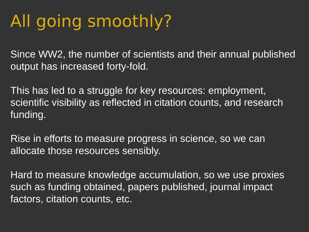# All going smoothly?

Since WW2, the number of scientists and their annual published output has increased forty-fold.

This has led to a struggle for key resources: employment, scientific visibility as reflected in citation counts, and research funding.

Rise in efforts to measure progress in science, so we can allocate those resources sensibly.

Hard to measure knowledge accumulation, so we use proxies such as funding obtained, papers published, journal impact factors, citation counts, etc.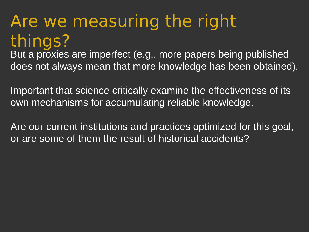# Are we measuring the right things?

But a proxies are imperfect (e.g., more papers being published does not always mean that more knowledge has been obtained).

Important that science critically examine the effectiveness of its own mechanisms for accumulating reliable knowledge.

Are our current institutions and practices optimized for this goal, or are some of them the result of historical accidents?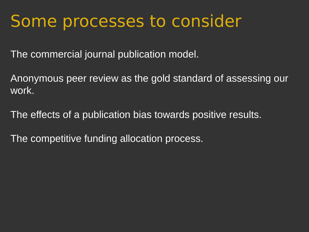#### Some processes to consider

The commercial journal publication model.

Anonymous peer review as the gold standard of assessing our work.

The effects of a publication bias towards positive results.

The competitive funding allocation process.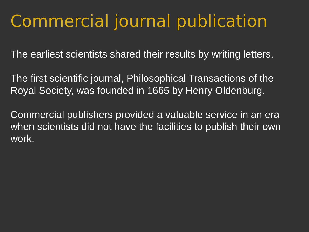## Commercial journal publication

The earliest scientists shared their results by writing letters.

The first scientific journal, Philosophical Transactions of the Royal Society, was founded in 1665 by Henry Oldenburg.

Commercial publishers provided a valuable service in an era when scientists did not have the facilities to publish their own work.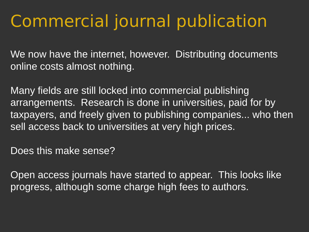## Commercial journal publication

We now have the internet, however. Distributing documents online costs almost nothing.

Many fields are still locked into commercial publishing arrangements. Research is done in universities, paid for by taxpayers, and freely given to publishing companies... who then sell access back to universities at very high prices.

Does this make sense?

Open access journals have started to appear. This looks like progress, although some charge high fees to authors.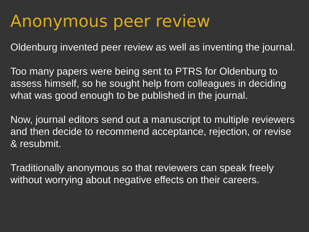### Anonymous peer review

Oldenburg invented peer review as well as inventing the journal.

Too many papers were being sent to PTRS for Oldenburg to assess himself, so he sought help from colleagues in deciding what was good enough to be published in the journal.

Now, journal editors send out a manuscript to multiple reviewers and then decide to recommend acceptance, rejection, or revise & resubmit.

Traditionally anonymous so that reviewers can speak freely without worrying about negative effects on their careers.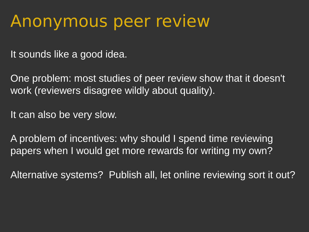### Anonymous peer review

It sounds like a good idea.

One problem: most studies of peer review show that it doesn't work (reviewers disagree wildly about quality).

It can also be very slow.

A problem of incentives: why should I spend time reviewing papers when I would get more rewards for writing my own?

Alternative systems? Publish all, let online reviewing sort it out?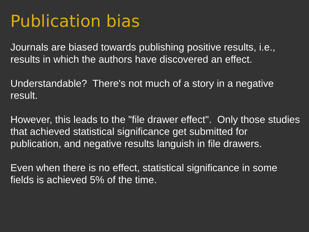### Publication bias

Journals are biased towards publishing positive results, i.e., results in which the authors have discovered an effect.

Understandable? There's not much of a story in a negative result.

However, this leads to the "file drawer effect". Only those studies that achieved statistical significance get submitted for publication, and negative results languish in file drawers.

Even when there is no effect, statistical significance in some fields is achieved 5% of the time.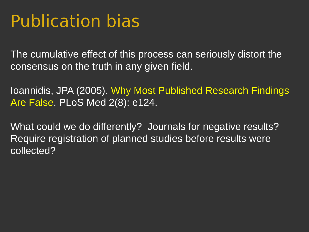### Publication bias

The cumulative effect of this process can seriously distort the consensus on the truth in any given field.

Ioannidis, JPA (2005). Why Most Published Research Findings Are False. PLoS Med 2(8): e124.

What could we do differently? Journals for negative results? Require registration of planned studies before results were collected?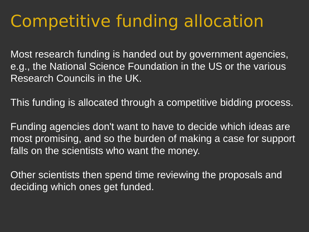# Competitive funding allocation

Most research funding is handed out by government agencies, e.g., the National Science Foundation in the US or the various Research Councils in the UK.

This funding is allocated through a competitive bidding process.

Funding agencies don't want to have to decide which ideas are most promising, and so the burden of making a case for support falls on the scientists who want the money.

Other scientists then spend time reviewing the proposals and deciding which ones get funded.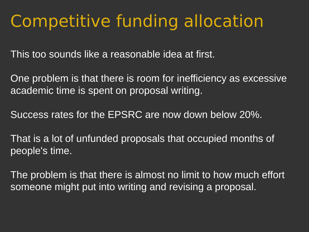# Competitive funding allocation

This too sounds like a reasonable idea at first.

One problem is that there is room for inefficiency as excessive academic time is spent on proposal writing.

Success rates for the EPSRC are now down below 20%.

That is a lot of unfunded proposals that occupied months of people's time.

The problem is that there is almost no limit to how much effort someone might put into writing and revising a proposal.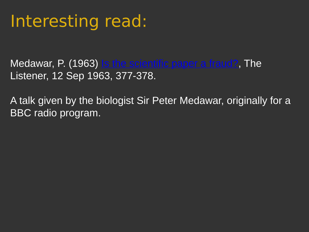### Interesting read:

Medawar, P. (1963) [Is the scientific paper a fraud?,](https://secure.ecs.soton.ac.uk/notes/comp6024/reading/Medawar.pdf) The Listener, 12 Sep 1963, 377-378.

A talk given by the biologist Sir Peter Medawar, originally for a BBC radio program.